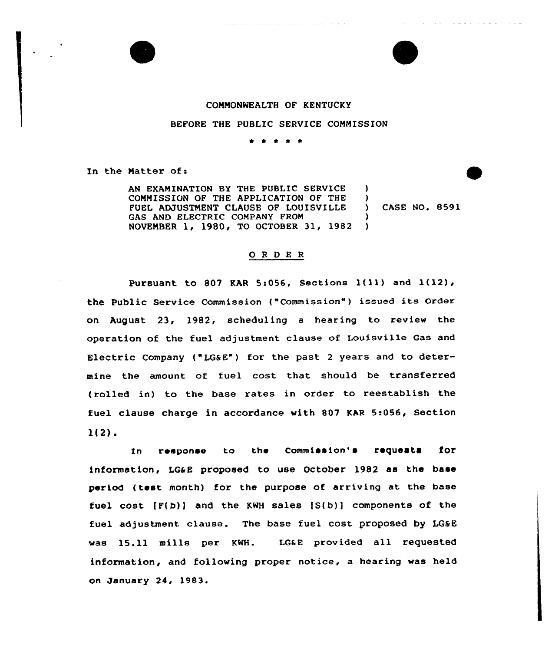



#### COMMONWEALTH OF KENTUCKY

#### BEFORE THE PUBLIC SERVICE CONNISSION

\* \* \* \* \*

In the Matter of:

AN EXAMINATION BY THE PUBLIC SERVICE CONNISSION OF THE APPLICATION OF THE FUEL ADJUSTNENT CLAUSE OF LOUISVILLE GAS AND ELECTRIC COMPANY FROM NOVEMBER 1, 1980, TO OCTOBER 31, 1982 ) ) ) )

) CASE NO. 8591

### 0 <sup>R</sup> <sup>D</sup> E <sup>R</sup>

Pursuant to <sup>807</sup> KAR 5:056, Sections l(11) and l(12), the Public Service Commission ("Commission" ) issued its order on August 23, 1982, scheduling <sup>a</sup> hearing to review the operation of the fuel adjustment clause of Louisville Gas and Electric Company ("LG&E") for the past <sup>2</sup> years and to determine the amount of fuel cost that should be transferred (rolled in) to the base rates in order to reestablish the fuel clause charge in accordance with 807 KAR 5:056, Section 1(2).

In response to the Commission's requests for information, LG&E proposed to use October 1982 as the base period (test month) for the purpose of arriving at the base fuel cost  $[F(b)]$  and the KWH sales  $[S(b)]$  components of the fuel adjustment clause. The base fuel cost proposed by LG&E was 15.11 mills per KWH. LG&E provided all requested information, and following proper notice, a hearing was held on January 24, 1983.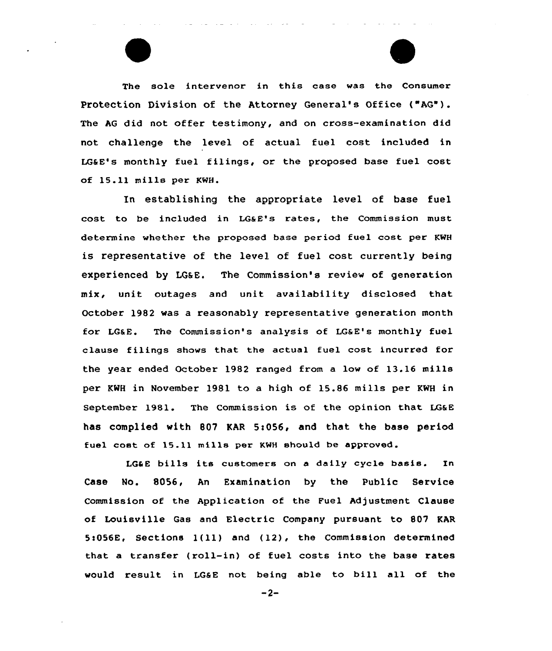The sole intervenor in this case was the Consumer Protection Division of the Attorney General's Office ("AG"). The AG did not offer testimony, and on cross-examination did not challenge the level of actual fuel cost included in LG&E's monthly fuel filings, or the proposed base fuel cost of 15.11 mills per KWH.

In establishing the appropriate level of base fuel cost to be included in LG&E's rates, the Commission must determine whether the proposed base period fuel cost per KWH is representative of the level of fuel cost currently being experienced by LG&E. The Commission's review of generation mix, unit outages and unit availability disclosed that October 1982 was a reasonably representative generation month for LGaE. The Commission's analysis of LGaE's monthly fuel clause filings shows that the actual fuel cost incurred for the year ended October 1982 ranged from a low of 13.16 mills per KMH in November 1981 to a high of 15.86 mills per KWH in September 1981. The Commission is of the opinion that LGaE has complied with 807 KAR 5:056, and that the base period fuel cost of 15.11 mills per KNH should be approved.

LG&E bills its customers on a daily cycle basis. In Case No. 8056, An Examination by the Public Service Commission of the Application of the Fuel Adjustment Clause of Louisville Gas and Electric Company pursuant to 807 KAR 5s056E, Sections 1(ll) and (12), the Commission determined that a transfer (roll-in) of fuel costs into the base rates would result in LGSE not being able to bill all of the

 $-2-$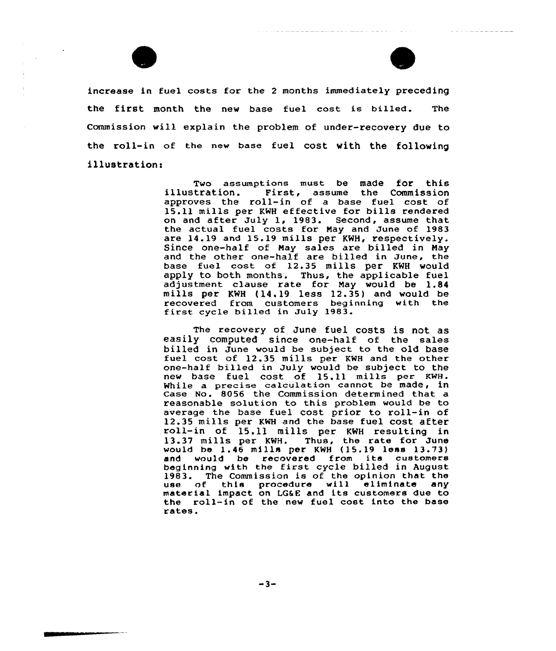



increase in fuel costs for the <sup>2</sup> months immediately preceding the first month the new base fuel cost is billed. The Commission will explain the problem of under-recovery due to the roll-in of the new base fuel cost with the following illustration:

> Two assumptions must be made for this<br>illustration. First, assume the Commission<br>approves the roll-in of a base fuel cost of 15.11 mills per KWH effective for bills rendered on and after July 1, 1983. Second, assume that the actual fuel costs for May and June of 1983 are 14.19 and 15.19 mills per KWH, respectively. Since one-half of May sales are billed in May and the other one-half are billed in June, the base fuel cost of 12.35 mills per KWH would apply to both months. Thus, the applicable fuel adjustment clause rate for Nay would be 1.84 mills per KNH (14.19 less 12.35) and would be recovered from customers beginning with the first cycle billed in July 1983.

> The recovery of June fuel costs is not as easily computed since one-half of the sales billed in June would be subject to the old base fuel cost of 12.35 mills per KWH and the other one-half billed in July would be subject to the new base fuel cost of 15.11 mills per KNH. While a precise calculation cannot be made, in Case No. 8056 the Commission determined that a reasonable solution to this problem would be to average the base fuel cost prior to roll-in of 12.35 mills per KNH and the base fuel cost after roll-in of 15.11 mills per KWH resulting in roll-in of 15.11 mills per KWH resulting in<br>13.37 mills per KWH. Thus, the rate for June would be 1.46 mills per KWH (15.19 less 13.73) and would be recovered from its customers beginning with the first cycle billed in August 1983. The Commission is of the opinion that the use of this procedure will eliminate any material impact on LG6E and its customers due to the roll-in of the new fuel cost into the base rates.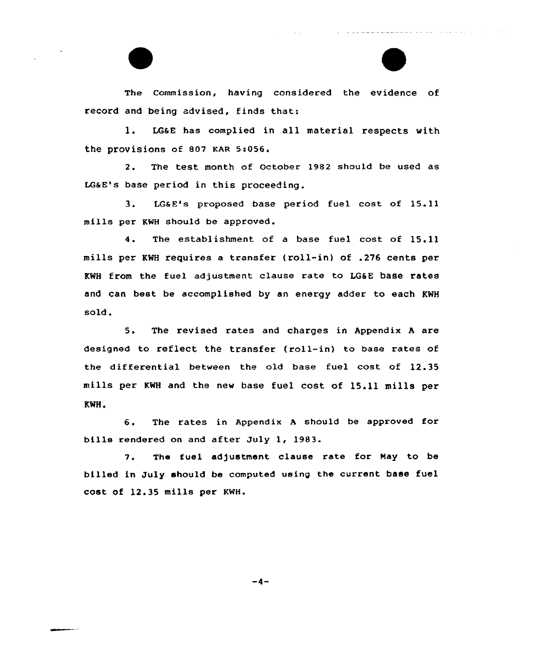The commission, having considered the evidence of record and being advised, finds that:

l. LGaE has complied in all material respects with the provisions of 807 KAR 5:056.

2. The test month of October 1982 should be used as LGaE's base period in this proceeding.

3. LG&E's proposed base period fuel cost of 15.11 mills per KWH should be approved.

4. The establishment of <sup>a</sup> base fuel cost of 15.11 mills per KWH requires a transfer (roll-in) of .276 cents per KWH from the fuel adjustment clause rate to LG6E base rates and can best be accomplished by an energy adder to each KWH sold.

5. The revised rates and charges in Appendix <sup>A</sup> are designed to reflect the transfer (roll-in) to base rates of the differential between the old base fuel cost of 12.35 mills per KWH and the new base fuel cost of 15.11 mills per KWH.

6. The rates in Appendix <sup>A</sup> should be approved for bills rendered on and after July 1, 1983.

7. The fuel adjustment clause rate for Nay to be billed in July should be computed using the current base fuel cost of 12.35 mills per KNH.

 $-4-$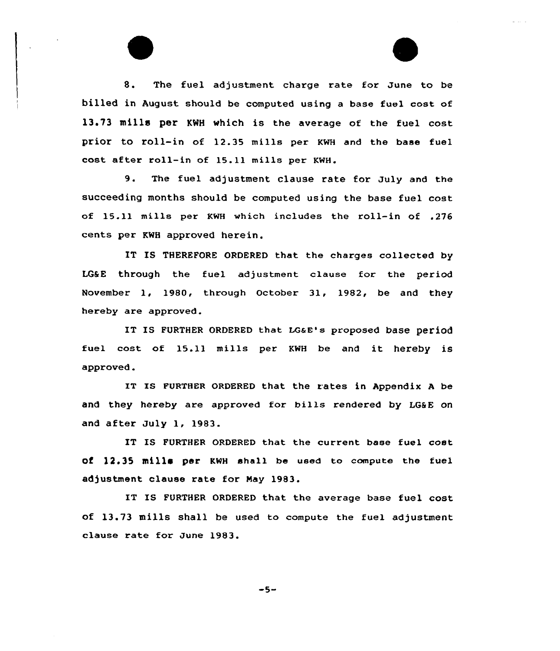

8. The fuel adjustment charge rate for June to be billed in August should be computed using a base fuel cost of 13.73 mills per KMH which is the average of the fuel cost prior to roll-in af 12.35 mills per KwH and the base fuel cost after roll-in of 15.11 mills per KWH.

9. The fuel adjustment clause rate for July and the succeeding months should be computed using the base fuel cost af 15.11 mills per KWH which includes the roll-in of .276 cents per KWH approved herein.

IT IS THEREFORE ORDERED that the charges collected by LG&E through the fuel adjustment clause for the period November 1, 1980, through October 31, 1982, be and they hereby are approved.

IT IS FURTHER ORDERED that LG&E's proposed base period fuel cast of 15.11 mills per KWH be and it hereby iS approved.

IT IS FURTHER ORDERED that the rates in Appendix <sup>A</sup> be and they hereby are approved for bills rendered by LG&E on and after July 1, 1983.

IT IS FURTHER ORDERED that the current base fuel cost of 12.35 mills per KWH shall be used to compute the fuel adjustment clause rate for Nay 1983.

IT IS FURTHER ORDERED that the average base fuel cost of 13.73 mills shall be used to compute the fuel adjustment clause rate for June 1983.

 $-5-$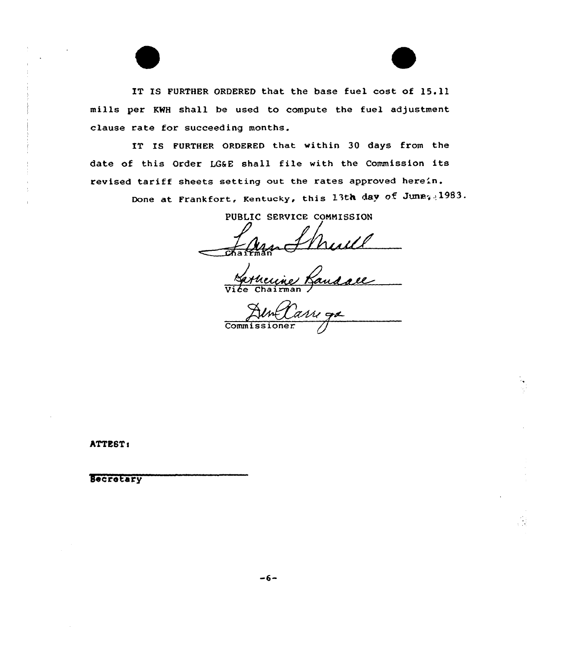IT IS FURTHER ORDERED that the base fuel cost of 15.11 mills per KWH shall be used to compute the fuel adjustment clause rate for succeeding months.

IT IS FURTHER ORDERED that within 30 days from the date of this Order LG&E shall file with the Commission its revised tariff sheets setting out the rates approved here'n.

Done at Frankfort, Kentucky, this 13th day of June; 1983.

PUBLIC SERVICE CONNISSION

 $=$   $\frac{1}{2}$   $\frac{1}{2}$ 

Vice Chairman

Edm*(L* 

hTTESTs

Secretary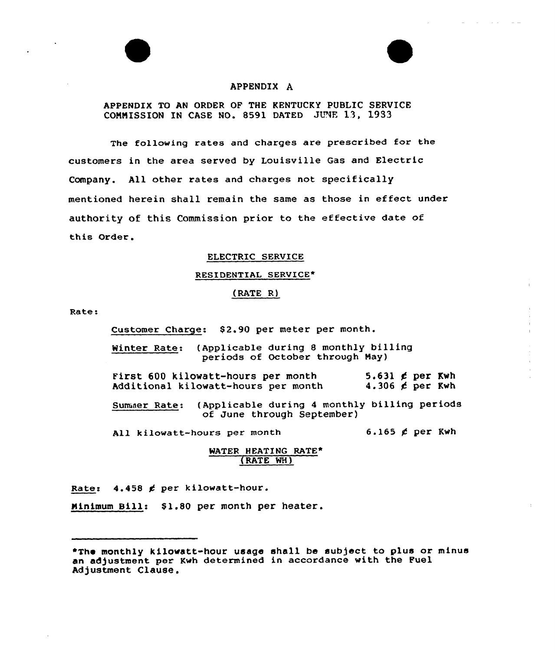# APPENDIX A

## APPENDIX TO AN ORDER OF THE KENTUCKY PUBLIC SERVICE COMMISSION IN CASE NO. 8591 DATED JUNE 13, 1933

The following rates and charges are prescribed for the customers in the area served by Louisville Gas and Electric Company. All other rates and charges not specifically mentioned herein shall remain the same as those in effect under authority of this Commission prior to the effective date of this Order.

#### ELECTRIC SERVICE

#### RESIDENTIAL SERVICE\*

#### (RATE R)

Rate:

Customer Charge: \$2.90 per meter per month.

Winter Rate: (Applicable during 8 monthly billing periods of October through Nay)

First 600 kilowatt-hours per month Additional kilowatt-hours per month 5.631  $\not\in$  per Kwh 4.306  $\neq$  per Kwh

Sumaer Rate: (Applicable during <sup>4</sup> monthly billing periods of June through September)

All kilowatt-hours per month  $6.165 \not\in per$  Kwh

#### WATER HEATING RATE\* {RATE WH)

Rates 4.458 g per kilowatt-hour.

Minimum Bill: \$1.80 per month per heater.

<sup>~</sup>The monthly kilowatt-hour usage shall be subject to plus or minus an adjustment per Kwh determined in accordance with the Fuel Adjustment Clause.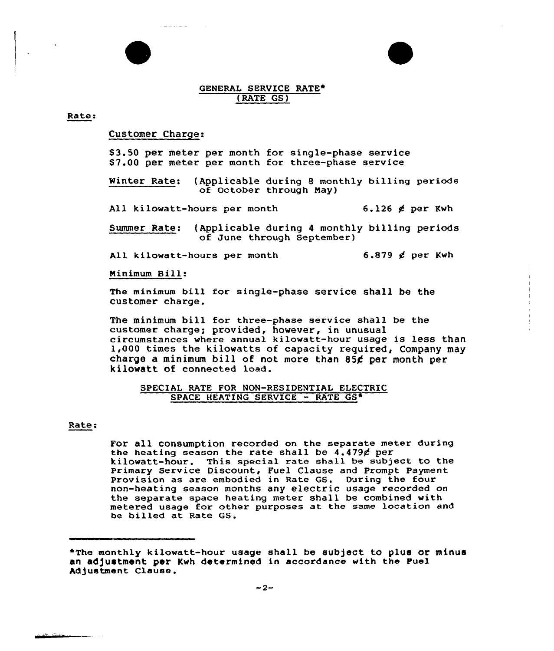#### GENERAL SERVICE RATE\* (RATE GS)

#### Rates

### Customer Charge:

\$3.50 per meter per month for single-phase service \$ 7.00 per meter per month for three-phase service

Winter Rate: (Applicable during 8 monthly billing periods of October through May)

All kilowatt-hours per month 6.126  $\notin$  per Kwh

Summer Rate: (Applicable during 4 monthly billing periods of June through September)

All kilowatt-hours per month 6.879  $\notin$  per Kwh

Ninimum Bill:

The minimum bill for single-phase service shall be the customer charge.

The minimum bill for three-phase service shall be the customer charge; provided, however, in unusual circumstances where annual kilowatt-hour usage is less than 1,000 times the kilowatts of capacity required, Company may charge a minimum bill of not more than 85 $\epsilon$  per month per kilowatt of connected load.

#### SPECIAL RATE FOR NON-RESIDENTIAL ELECTRIC SPACE HEATING SERVICE - RATE GS\*

#### Rate:

For all consumption recorded on the separate meter during the heating season the rate shall be  $4.479$ ¢ per kilowatt-hour. This special rate shall be subject to the Primary Service Discount, Fuel Clause and Prompt Payment Provision as are embodied in Rate GS. During the four non-heating season months any electric usage recorded on the separate space heating meter shall be combined with metered usage for other purposes at the same location and be billed at Rate GS.

<sup>\*</sup>The monthly kilowatt-hour usage shall be subject to plus or minus an adjustment per Kwh determined in accordance with the Fuel Adjustment Clause.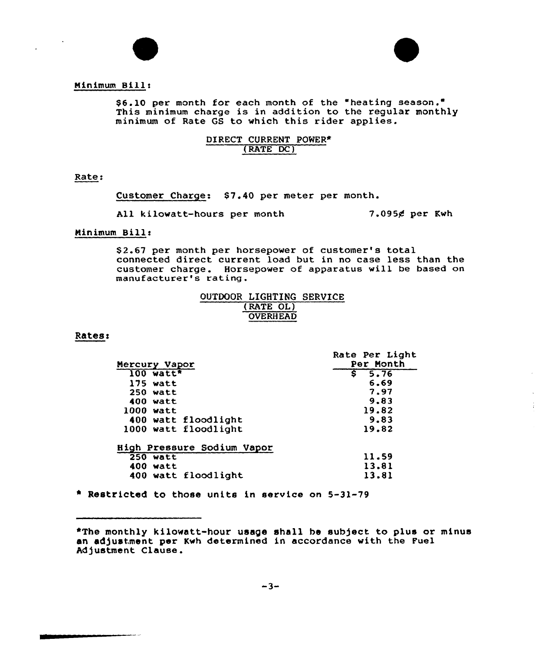



# Ninimum Bills

\$6.10 per month for each month of the "heating season." This minimum charge is in addition to the regular monthly minimum of Rate QS to which this rider applies.

# DIRECT CURRENT POWER\* (RATE DC)

Rates

Customer Charge: \$7.40 per meter per month.

All kilowatt-hours per month  $7.095$  $g$  per Kwh

# Minimum Bill:

\$ 2.67 per month per horsepower of customer's total connected direct current load but in no case less than the customer charge. Horsepower of apparatus will be based on manufacturer's rating.

|                 | OUTDOOR LIGHTING SERVICE |  |
|-----------------|--------------------------|--|
|                 | (RATE OL)                |  |
| <b>OVERHEAD</b> |                          |  |

#### **Rates:**

|                            | Rate Per Light |
|----------------------------|----------------|
| Mercury Vapor              | Per Month      |
| $100$ watt <sup>*</sup>    | 5.76<br>s      |
| $175$ watt                 | 6.69           |
| $250$ watt                 | 7.97           |
| 400 watt                   | 9.83           |
| 1000 watt                  | 19.82          |
| 400 watt floodlight        | 9.83           |
| 1000 watt floodlight       | 19.82          |
| High Pressure Sodium Vapor |                |
| $250$ watt                 | 11.59          |
| 400 watt                   | 13.81          |
| 400 watt floodlight        | 13.81          |

» Restricted to those units in service on 5-31-79

<sup>\*</sup>The monthly kilowatt-hour usage shall be subject to plus or minus an adjustment per Kwh determined in accordance with the Fuel Adjustment Clause.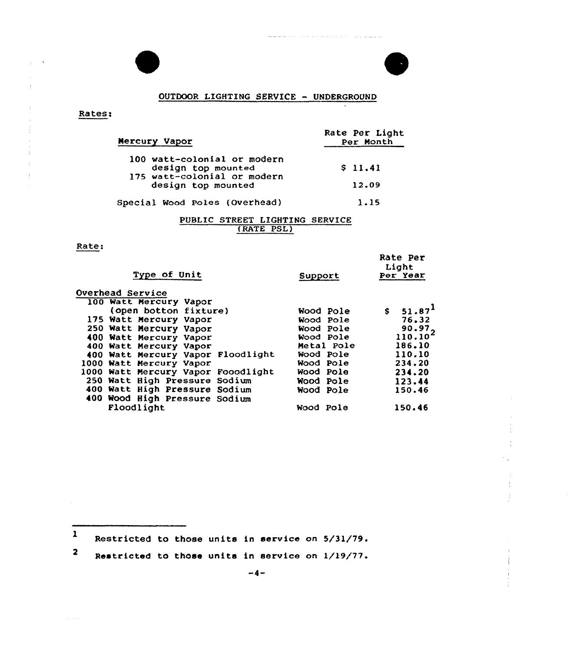# OUTDOOR LIGHTING SERVICE — UNDERGROUND

where the contract of the contract of the contract of the contract of  $\mathcal{A}$ 

77

 $\frac{1}{4}$ 

 $\overline{a}$ 

 $\frac{1}{4}$ Ť

| Rates: |  |
|--------|--|
|        |  |

 $\bar{V}$  $\sim$   $\sim$ 

| Mercury Vapor                                     | Rate Per Light<br>Per Month |  |
|---------------------------------------------------|-----------------------------|--|
| 100 watt-colonial or modern                       | \$11.41                     |  |
| design top mounted<br>175 watt-colonial or modern |                             |  |
| design top mounted                                | 12.09                       |  |
| Special Wood Poles (Overhead)                     | 1.15                        |  |

# PUBLIC STREET LIGHTING SERVICE {RATE PSL)

# Rate:

 $\sim 140$  and  $\sim$ 

| Type of Unit                       | Support    | Rate Per<br>Light<br>Per Year |
|------------------------------------|------------|-------------------------------|
| <b>Overhead Service</b>            |            |                               |
| 100 Watt Mercury Vapor             |            |                               |
| (open botton fixture)              | Wood Pole  | \$51.87                       |
| 175 Watt Mercury Vapor             | Wood Pole  | 76.32                         |
| 250 Watt Mercury Vapor             | Wood Pole  | 90.972                        |
| 400 Watt Mercury Vapor             | Wood Pole  | 110.10 <sup>2</sup>           |
| 400 Watt Mercury Vapor             | Metal Pole | 186.10                        |
| 400 Watt Mercury Vapor Floodlight  | Wood Pole  | 110.10                        |
| 1000 Watt Mercury Vapor            | Wood Pole  | 234.20                        |
| 1000 Watt Mercury Vapor Fooodlight | Wood Pole  | 234.20                        |
| 250 Watt High Pressure Sodium      | Wood Pole  | 123.44                        |
| 400 Watt High Pressure Sodium      | Wood Pole  | 150.46                        |
| 400 Wood High Pressure Sodium      |            |                               |
| Floodlight                         | Wood Pole  | 150.46                        |
|                                    |            |                               |

<sup>1</sup> Restricted to those units in service on 5/31/79.

 $\overline{\mathbf{2}}$ Restricted to those units in service on 1/19/77.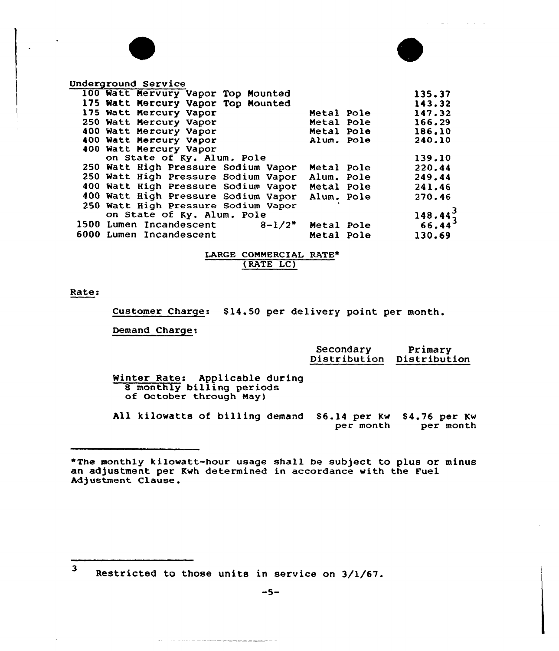| <b>Underground Service</b>             |                   |                                        |
|----------------------------------------|-------------------|----------------------------------------|
| 100 Watt Mervury Vapor Top Mounted     |                   | 135.37                                 |
| 175 Watt Mercury Vapor Top Mounted     |                   | 143.32                                 |
| 175 Watt Mercury Vapor                 | <b>Metal Pole</b> | 147.32                                 |
| 250 Watt Mercury Vapor                 | Metal Pole        | 166.29                                 |
| 400 Watt Mercury Vapor                 | Metal Pole        | 186.10                                 |
| 400 Watt Mercury Vapor                 | Alum. Pole        | 240.10                                 |
| 400 Watt Mercury Vapor                 |                   |                                        |
| on State of Ky. Alum. Pole             |                   | 139.10                                 |
| 250 Watt High Pressure Sodium Vapor    | Metal Pole        | 220.44                                 |
| 250 Watt High Pressure Sodium Vapor    | Alum. Pole        | 249.44                                 |
| 400 Watt High Pressure Sodium Vapor    | Metal Pole        | 241.46                                 |
| 400 Watt High Pressure Sodium Vapor    | Alum. Pole        | 270.46                                 |
| 250 Watt High Pressure Sodium Vapor    |                   |                                        |
|                                        |                   |                                        |
| on State of Ky. Alum. Pole             |                   | $148.44^{3}_{3}$<br>66.44 <sup>3</sup> |
| 1500 Lumen Incandescent<br>$8 - 1/2$ " | Metal Pole        |                                        |
| 6000 Lumen Incandescent                | Metal Pole        | 130.69                                 |
|                                        |                   |                                        |

# LARGE COMMERCIAL RATE\* (RATE LC)

#### Rate:

Customer Charge: \$14.50 per delivery point per month.

#### Demand Charge:

|        | Secondary<br>Distribution | Primary<br>Distribution |
|--------|---------------------------|-------------------------|
| during |                           |                         |

the company of the company of

Winter Rate: Applicable 8 monthly billing periods<br>of October through May)

nd kilowatts of billing demand \$6.14 per Kw \$4.76 per Kw per month per month

<sup>3</sup> Restricted to those units in service on 3/1/67.

\_\_\_\_\_\_\_\_\_\_\_\_\_\_\_\_\_\_\_\_\_\_\_\_\_\_\_\_

<sup>\*</sup>The monthly kilowatt-hour usage shall be subject to plus or minus an adjustment per Kwh determined in accordance with the Fuel Adjustment Clause.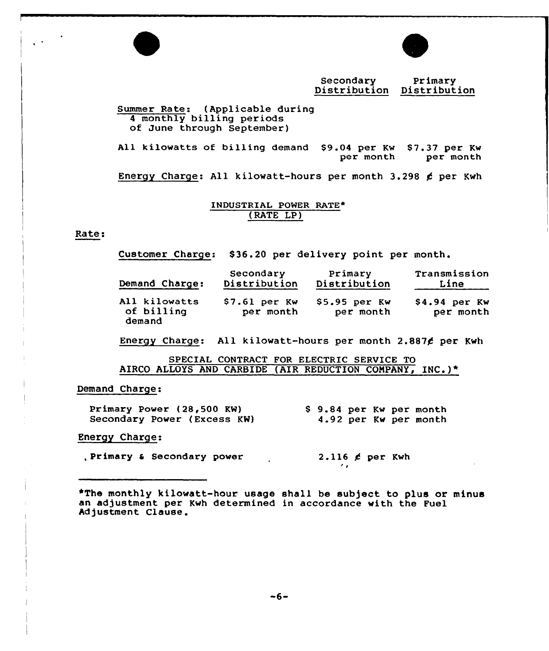

Secondary Primary Distribution Distribution

# Summer Rate: (Applicable during <sup>4</sup> monthly billing periods of June through September)

All kilowatts of billing demand \$9.04 per Kw \$7.37 per Kw \$1.37 per Kw per month

Energy Charge: All kilowatt-hours per month 3.298 ¢ per Kwh

# INDUSTRIAL POWER RATE\* ( RATE LP )

# Kate:

 $\mathcal{L}^{\mathcal{L}}$  .

Customer Charge: \$36.20 per delivery point per month.

| Demand Charge:                        | Secondary                   | Primary                     | Transmission                |
|---------------------------------------|-----------------------------|-----------------------------|-----------------------------|
|                                       | Distribution                | Distribution                | Line                        |
| All kilowatts<br>of billing<br>demand | $$7.61$ per Kw<br>per month | $$5.95$ per Kw<br>per month | $$4.94$ per Kw<br>per month |

Energy Charge: All kilowatt-hours per month 2.887 $\ell$  per Kwh

SPECIAL CONTRACT FOR ELECTRIC SERVICE TO AIRCO ALLOYS AND CARBIDE (AIR REDUCTION COMPANY, INC.)\*

## Demand Charge:

| Primary Power (28,500 KW)<br>Secondary Power (Excess KW) | \$9.84 per Kw per month<br>4.92 per Kw per month |
|----------------------------------------------------------|--------------------------------------------------|
| <b>Energy Charge:</b>                                    |                                                  |
| Primary & Secondary power                                | 2.116 $\neq$ per Kwh                             |

~The monthly kilowatt-hour usage shall be sub)ect to plus or minus an adjustment per Kwh determined in accordance with the Fuel an adjustment per :<br>Adjustment Clause<mark>.</mark>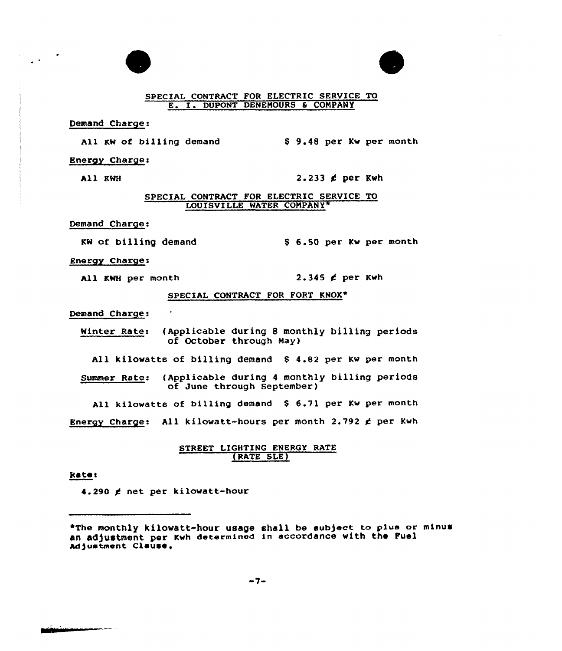

Demand Charge:

 $\mathbf{A}$ 

All KW of billing demand

Energy Charge:

All KWH  $2.233 \notin$  per Kwh

0 9.48 per Kw per month

#### SPECIAL CONTRACT FOR ELECTRIC SERVICE TO LOUISVILLE WATER CONPANY»

Demand Charge:

KW of billing demand 56.50 per Kw per month

Energy Charge:

All KWH per month  $2.345 \not\leq$  per Kwh

# SPECIAL CONTRACT FOR FORT KNOX\*

Demand Charge:

Winter Rate: (Applicable during 8 monthly billing periods of October through Nay)

All kilowatts of billing demand 8 4.82 per Kw per month

Summer Rate: (Applicable during <sup>4</sup> monthly billing periods of June through September)

All kilowatts of billing demand \$ 6.71 per Kw per month

Energy Charge: All kilowatt-hours per month 2.792  $\notin$  per Kwh

# STREET LIGHTING ENERGY RATE (RATE SLE)

Rate:

4.290 g net per kilowatt-hour

\*The monthly kilowatt-hour usage shall be subject to plus or mtnus an adjustment per Kwh determined in accordance with the Fuel Adjustment Clause.